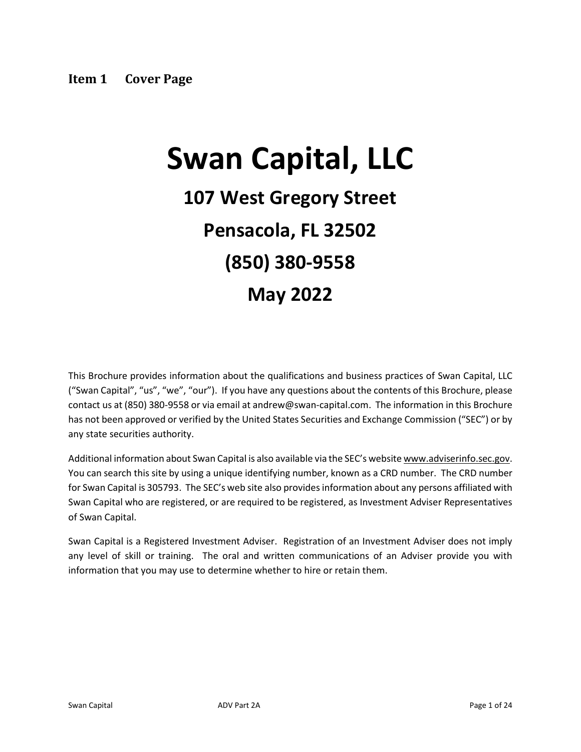# <span id="page-0-0"></span>**Swan Capital, LLC**

## **107 West Gregory Street Pensacola, FL 32502 (850) 380-9558 May 2022**

This Brochure provides information about the qualifications and business practices of Swan Capital, LLC ("Swan Capital", "us", "we", "our"). If you have any questions about the contents of this Brochure, please contact us at (850) 380-9558 or via email at andrew@swan-capital.com. The information in this Brochure has not been approved or verified by the United States Securities and Exchange Commission ("SEC") or by any state securities authority.

Additional information about Swan Capital is also available via the SEC's website www.adviserinfo.sec.gov. You can search this site by using a unique identifying number, known as a CRD number. The CRD number for Swan Capital is 305793. The SEC's web site also provides information about any persons affiliated with Swan Capital who are registered, or are required to be registered, as Investment Adviser Representatives of Swan Capital.

Swan Capital is a Registered Investment Adviser. Registration of an Investment Adviser does not imply any level of skill or training. The oral and written communications of an Adviser provide you with information that you may use to determine whether to hire or retain them.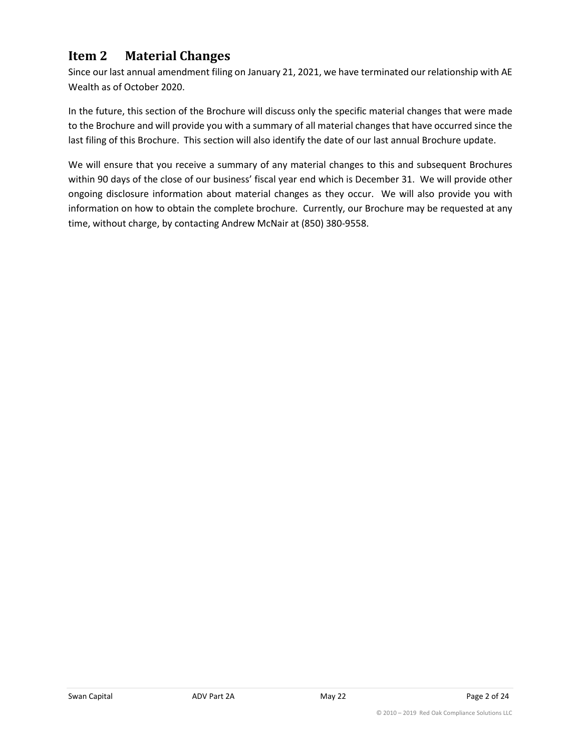## <span id="page-1-0"></span>**Item 2 Material Changes**

Since our last annual amendment filing on January 21, 2021, we have terminated our relationship with AE Wealth as of October 2020.

In the future, this section of the Brochure will discuss only the specific material changes that were made to the Brochure and will provide you with a summary of all material changes that have occurred since the last filing of this Brochure. This section will also identify the date of our last annual Brochure update.

We will ensure that you receive a summary of any material changes to this and subsequent Brochures within 90 days of the close of our business' fiscal year end which is December 31. We will provide other ongoing disclosure information about material changes as they occur. We will also provide you with information on how to obtain the complete brochure. Currently, our Brochure may be requested at any time, without charge, by contacting Andrew McNair at (850) 380-9558.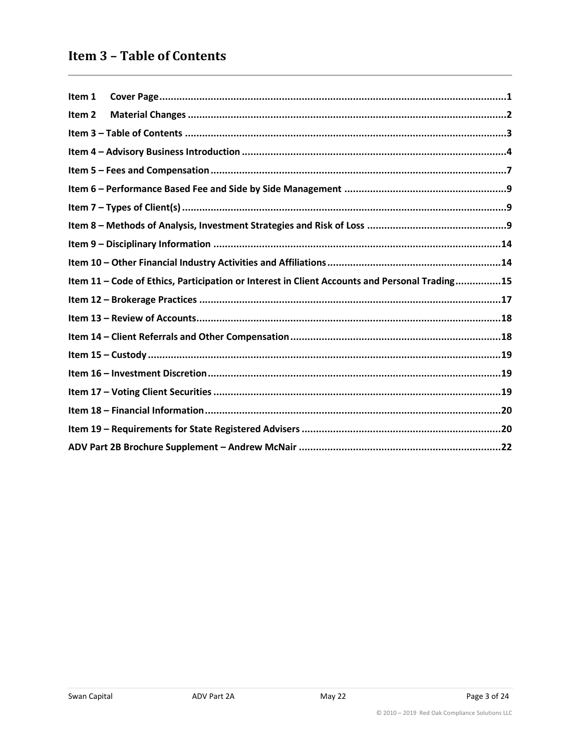## <span id="page-2-0"></span>**Item 3 - Table of Contents**

| Item 1            |                                                                                               |
|-------------------|-----------------------------------------------------------------------------------------------|
| Item <sub>2</sub> |                                                                                               |
|                   |                                                                                               |
|                   |                                                                                               |
|                   |                                                                                               |
|                   |                                                                                               |
|                   |                                                                                               |
|                   |                                                                                               |
|                   |                                                                                               |
|                   |                                                                                               |
|                   | Item 11 - Code of Ethics, Participation or Interest in Client Accounts and Personal Trading15 |
|                   |                                                                                               |
|                   |                                                                                               |
|                   |                                                                                               |
|                   |                                                                                               |
|                   |                                                                                               |
|                   |                                                                                               |
|                   |                                                                                               |
|                   |                                                                                               |
|                   |                                                                                               |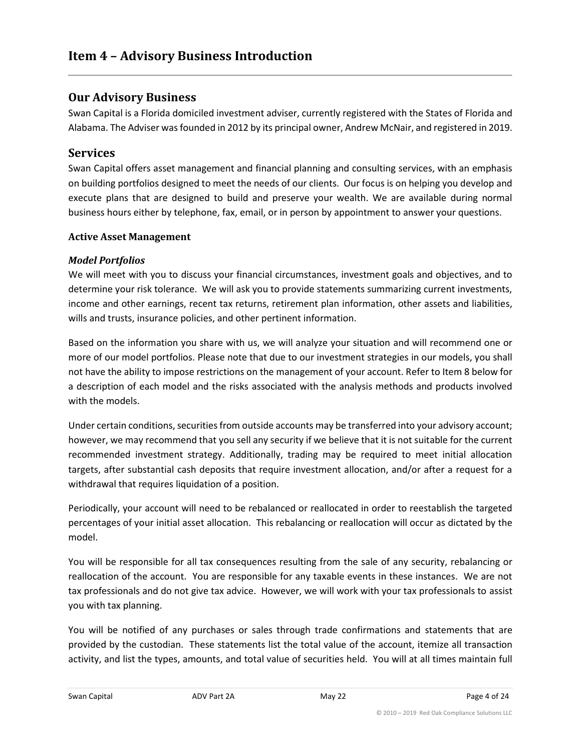## <span id="page-3-0"></span>**Our Advisory Business**

Swan Capital is a Florida domiciled investment adviser, currently registered with the States of Florida and Alabama. The Adviser was founded in 2012 by its principal owner, Andrew McNair, and registered in 2019.

## **Services**

Swan Capital offers asset management and financial planning and consulting services, with an emphasis on building portfolios designed to meet the needs of our clients. Our focus is on helping you develop and execute plans that are designed to build and preserve your wealth. We are available during normal business hours either by telephone, fax, email, or in person by appointment to answer your questions.

#### **Active Asset Management**

#### *Model Portfolios*

We will meet with you to discuss your financial circumstances, investment goals and objectives, and to determine your risk tolerance. We will ask you to provide statements summarizing current investments, income and other earnings, recent tax returns, retirement plan information, other assets and liabilities, wills and trusts, insurance policies, and other pertinent information.

Based on the information you share with us, we will analyze your situation and will recommend one or more of our model portfolios. Please note that due to our investment strategies in our models, you shall not have the ability to impose restrictions on the management of your account. Refer to Item 8 below for a description of each model and the risks associated with the analysis methods and products involved with the models.

Under certain conditions, securities from outside accounts may be transferred into your advisory account; however, we may recommend that you sell any security if we believe that it is not suitable for the current recommended investment strategy. Additionally, trading may be required to meet initial allocation targets, after substantial cash deposits that require investment allocation, and/or after a request for a withdrawal that requires liquidation of a position.

Periodically, your account will need to be rebalanced or reallocated in order to reestablish the targeted percentages of your initial asset allocation. This rebalancing or reallocation will occur as dictated by the model.

You will be responsible for all tax consequences resulting from the sale of any security, rebalancing or reallocation of the account. You are responsible for any taxable events in these instances. We are not tax professionals and do not give tax advice. However, we will work with your tax professionals to assist you with tax planning.

You will be notified of any purchases or sales through trade confirmations and statements that are provided by the custodian. These statements list the total value of the account, itemize all transaction activity, and list the types, amounts, and total value of securities held. You will at all times maintain full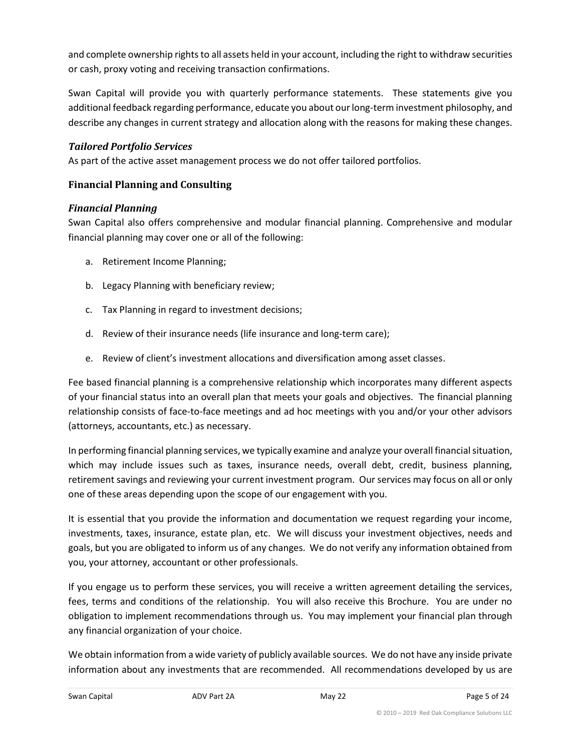and complete ownership rights to all assets held in your account, including the right to withdraw securities or cash, proxy voting and receiving transaction confirmations.

Swan Capital will provide you with quarterly performance statements. These statements give you additional feedback regarding performance, educate you about our long-term investment philosophy, and describe any changes in current strategy and allocation along with the reasons for making these changes.

#### *Tailored Portfolio Services*

As part of the active asset management process we do not offer tailored portfolios.

#### **Financial Planning and Consulting**

#### *Financial Planning*

Swan Capital also offers comprehensive and modular financial planning. Comprehensive and modular financial planning may cover one or all of the following:

- a. Retirement Income Planning;
- b. Legacy Planning with beneficiary review;
- c. Tax Planning in regard to investment decisions;
- d. Review of their insurance needs (life insurance and long-term care);
- e. Review of client's investment allocations and diversification among asset classes.

Fee based financial planning is a comprehensive relationship which incorporates many different aspects of your financial status into an overall plan that meets your goals and objectives. The financial planning relationship consists of face-to-face meetings and ad hoc meetings with you and/or your other advisors (attorneys, accountants, etc.) as necessary.

In performing financial planning services, we typically examine and analyze your overall financial situation, which may include issues such as taxes, insurance needs, overall debt, credit, business planning, retirement savings and reviewing your current investment program. Our services may focus on all or only one of these areas depending upon the scope of our engagement with you.

It is essential that you provide the information and documentation we request regarding your income, investments, taxes, insurance, estate plan, etc. We will discuss your investment objectives, needs and goals, but you are obligated to inform us of any changes. We do not verify any information obtained from you, your attorney, accountant or other professionals.

If you engage us to perform these services, you will receive a written agreement detailing the services, fees, terms and conditions of the relationship. You will also receive this Brochure. You are under no obligation to implement recommendations through us. You may implement your financial plan through any financial organization of your choice.

We obtain information from a wide variety of publicly available sources. We do not have any inside private information about any investments that are recommended. All recommendations developed by us are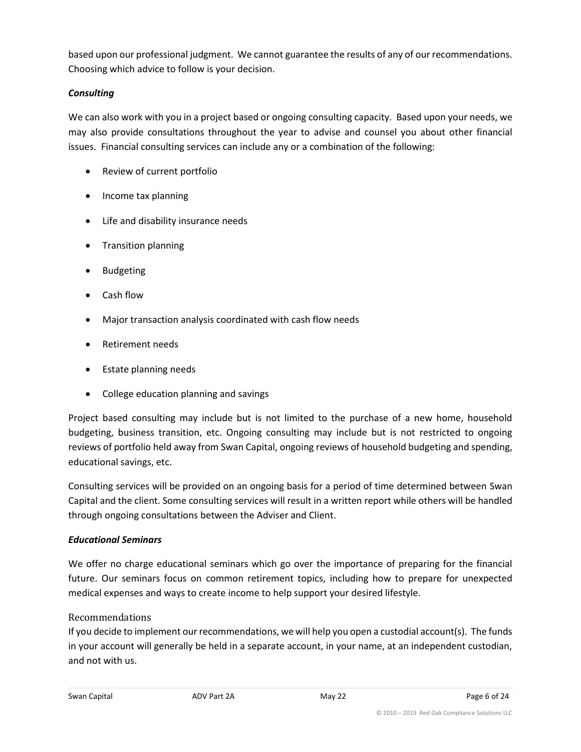based upon our professional judgment. We cannot guarantee the results of any of our recommendations. Choosing which advice to follow is your decision.

#### *Consulting*

We can also work with you in a project based or ongoing consulting capacity. Based upon your needs, we may also provide consultations throughout the year to advise and counsel you about other financial issues. Financial consulting services can include any or a combination of the following:

- Review of current portfolio
- Income tax planning
- Life and disability insurance needs
- Transition planning
- Budgeting
- Cash flow
- Major transaction analysis coordinated with cash flow needs
- Retirement needs
- Estate planning needs
- College education planning and savings

Project based consulting may include but is not limited to the purchase of a new home, household budgeting, business transition, etc. Ongoing consulting may include but is not restricted to ongoing reviews of portfolio held away from Swan Capital, ongoing reviews of household budgeting and spending, educational savings, etc.

Consulting services will be provided on an ongoing basis for a period of time determined between Swan Capital and the client. Some consulting services will result in a written report while others will be handled through ongoing consultations between the Adviser and Client.

#### *Educational Seminars*

We offer no charge educational seminars which go over the importance of preparing for the financial future. Our seminars focus on common retirement topics, including how to prepare for unexpected medical expenses and ways to create income to help support your desired lifestyle.

#### Recommendations

If you decide to implement our recommendations, we will help you open a custodial account(s). The funds in your account will generally be held in a separate account, in your name, at an independent custodian, and not with us.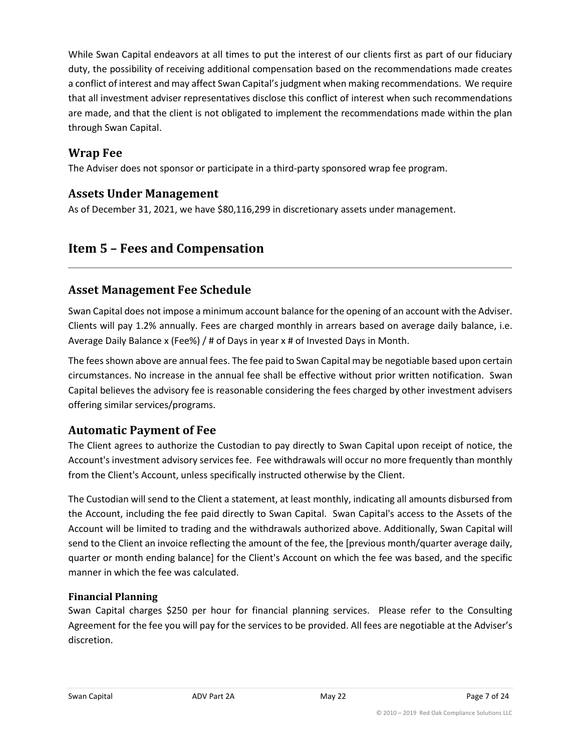While Swan Capital endeavors at all times to put the interest of our clients first as part of our fiduciary duty, the possibility of receiving additional compensation based on the recommendations made creates a conflict of interest and may affect Swan Capital's judgment when making recommendations. We require that all investment adviser representatives disclose this conflict of interest when such recommendations are made, and that the client is not obligated to implement the recommendations made within the plan through Swan Capital.

## **Wrap Fee**

The Adviser does not sponsor or participate in a third-party sponsored wrap fee program.

## **Assets Under Management**

As of December 31, 2021, we have \$80,116,299 in discretionary assets under management.

## <span id="page-6-0"></span>**Item 5 – Fees and Compensation**

## **Asset Management Fee Schedule**

Swan Capital does not impose a minimum account balance for the opening of an account with the Adviser. Clients will pay 1.2% annually. Fees are charged monthly in arrears based on average daily balance, i.e. Average Daily Balance x (Fee%) / # of Days in year x # of Invested Days in Month.

The fees shown above are annual fees. The fee paid to Swan Capital may be negotiable based upon certain circumstances. No increase in the annual fee shall be effective without prior written notification. Swan Capital believes the advisory fee is reasonable considering the fees charged by other investment advisers offering similar services/programs.

## **Automatic Payment of Fee**

The Client agrees to authorize the Custodian to pay directly to Swan Capital upon receipt of notice, the Account's investment advisory services fee. Fee withdrawals will occur no more frequently than monthly from the Client's Account, unless specifically instructed otherwise by the Client.

The Custodian will send to the Client a statement, at least monthly, indicating all amounts disbursed from the Account, including the fee paid directly to Swan Capital. Swan Capital's access to the Assets of the Account will be limited to trading and the withdrawals authorized above. Additionally, Swan Capital will send to the Client an invoice reflecting the amount of the fee, the [previous month/quarter average daily, quarter or month ending balance] for the Client's Account on which the fee was based, and the specific manner in which the fee was calculated.

#### **Financial Planning**

Swan Capital charges \$250 per hour for financial planning services. Please refer to the Consulting Agreement for the fee you will pay for the services to be provided. All fees are negotiable at the Adviser's discretion.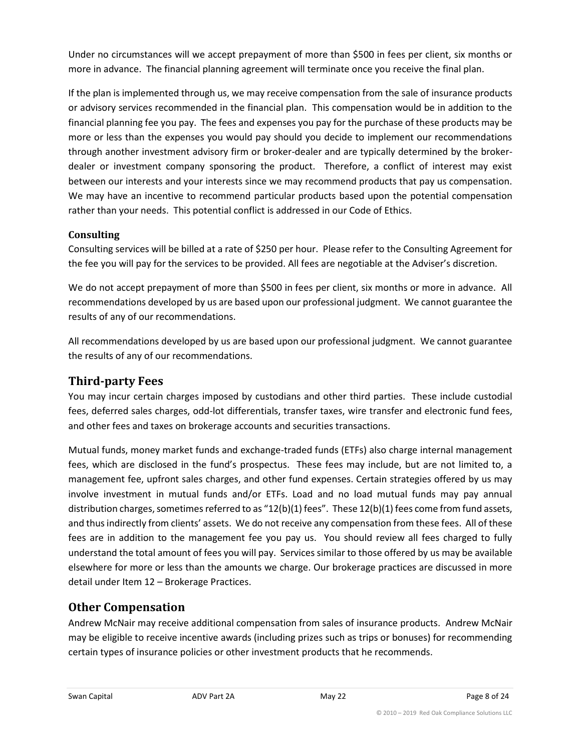Under no circumstances will we accept prepayment of more than \$500 in fees per client, six months or more in advance. The financial planning agreement will terminate once you receive the final plan.

If the plan is implemented through us, we may receive compensation from the sale of insurance products or advisory services recommended in the financial plan. This compensation would be in addition to the financial planning fee you pay. The fees and expenses you pay for the purchase of these products may be more or less than the expenses you would pay should you decide to implement our recommendations through another investment advisory firm or broker-dealer and are typically determined by the brokerdealer or investment company sponsoring the product. Therefore, a conflict of interest may exist between our interests and your interests since we may recommend products that pay us compensation. We may have an incentive to recommend particular products based upon the potential compensation rather than your needs. This potential conflict is addressed in our Code of Ethics.

## **Consulting**

Consulting services will be billed at a rate of \$250 per hour. Please refer to the Consulting Agreement for the fee you will pay for the services to be provided. All fees are negotiable at the Adviser's discretion.

We do not accept prepayment of more than \$500 in fees per client, six months or more in advance. All recommendations developed by us are based upon our professional judgment. We cannot guarantee the results of any of our recommendations.

All recommendations developed by us are based upon our professional judgment. We cannot guarantee the results of any of our recommendations.

## **Third-party Fees**

You may incur certain charges imposed by custodians and other third parties. These include custodial fees, deferred sales charges, odd-lot differentials, transfer taxes, wire transfer and electronic fund fees, and other fees and taxes on brokerage accounts and securities transactions.

Mutual funds, money market funds and exchange-traded funds (ETFs) also charge internal management fees, which are disclosed in the fund's prospectus. These fees may include, but are not limited to, a management fee, upfront sales charges, and other fund expenses. Certain strategies offered by us may involve investment in mutual funds and/or ETFs. Load and no load mutual funds may pay annual distribution charges, sometimes referred to as "12(b)(1) fees". These 12(b)(1) fees come from fund assets, and thus indirectly from clients' assets. We do not receive any compensation from these fees. All of these fees are in addition to the management fee you pay us. You should review all fees charged to fully understand the total amount of fees you will pay. Services similar to those offered by us may be available elsewhere for more or less than the amounts we charge. Our brokerage practices are discussed in more detail under Item 12 – Brokerage Practices.

## **Other Compensation**

Andrew McNair may receive additional compensation from sales of insurance products. Andrew McNair may be eligible to receive incentive awards (including prizes such as trips or bonuses) for recommending certain types of insurance policies or other investment products that he recommends.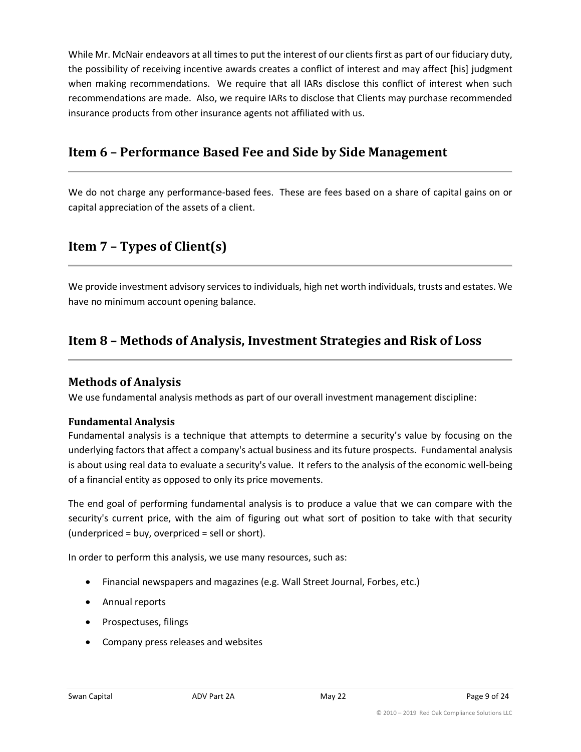While Mr. McNair endeavors at all times to put the interest of our clients first as part of our fiduciary duty, the possibility of receiving incentive awards creates a conflict of interest and may affect [his] judgment when making recommendations. We require that all IARs disclose this conflict of interest when such recommendations are made. Also, we require IARs to disclose that Clients may purchase recommended insurance products from other insurance agents not affiliated with us.

## <span id="page-8-0"></span>**Item 6 – Performance Based Fee and Side by Side Management**

We do not charge any performance-based fees. These are fees based on a share of capital gains on or capital appreciation of the assets of a client.

## <span id="page-8-1"></span>**Item 7 – Types of Client(s)**

We provide investment advisory services to individuals, high net worth individuals, trusts and estates. We have no minimum account opening balance.

## <span id="page-8-2"></span>**Item 8 – Methods of Analysis, Investment Strategies and Risk of Loss**

## **Methods of Analysis**

We use fundamental analysis methods as part of our overall investment management discipline:

#### **Fundamental Analysis**

Fundamental analysis is a technique that attempts to determine a security's value by focusing on the underlying factors that affect a company's actual business and its future prospects. Fundamental analysis is about using real data to evaluate a security's value. It refers to the analysis of the economic well-being of a financial entity as opposed to only its price movements.

The end goal of performing fundamental analysis is to produce a value that we can compare with the security's current price, with the aim of figuring out what sort of position to take with that security (underpriced = buy, overpriced = sell or short).

In order to perform this analysis, we use many resources, such as:

- Financial newspapers and magazines (e.g. Wall Street Journal, Forbes, etc.)
- Annual reports
- Prospectuses, filings
- Company press releases and websites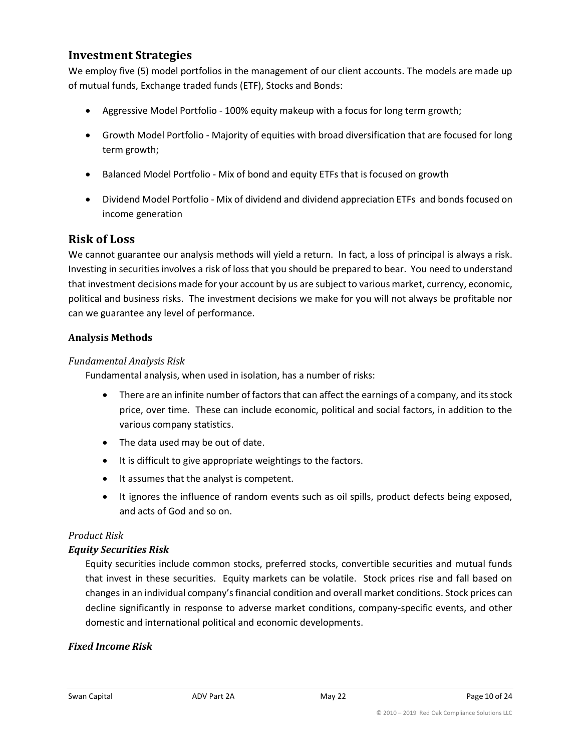## **Investment Strategies**

We employ five (5) model portfolios in the management of our client accounts. The models are made up of mutual funds, Exchange traded funds (ETF), Stocks and Bonds:

- Aggressive Model Portfolio 100% equity makeup with a focus for long term growth;
- Growth Model Portfolio Majority of equities with broad diversification that are focused for long term growth;
- Balanced Model Portfolio Mix of bond and equity ETFs that is focused on growth
- Dividend Model Portfolio Mix of dividend and dividend appreciation ETFs and bonds focused on income generation

## **Risk of Loss**

We cannot guarantee our analysis methods will yield a return. In fact, a loss of principal is always a risk. Investing in securities involves a risk of loss that you should be prepared to bear. You need to understand that investment decisions made for your account by us are subject to various market, currency, economic, political and business risks. The investment decisions we make for you will not always be profitable nor can we guarantee any level of performance.

#### **Analysis Methods**

#### *Fundamental Analysis Risk*

Fundamental analysis, when used in isolation, has a number of risks:

- There are an infinite number of factors that can affect the earnings of a company, and its stock price, over time. These can include economic, political and social factors, in addition to the various company statistics.
- The data used may be out of date.
- It is difficult to give appropriate weightings to the factors.
- It assumes that the analyst is competent.
- It ignores the influence of random events such as oil spills, product defects being exposed, and acts of God and so on.

#### *Product Risk*

#### *Equity Securities Risk*

Equity securities include common stocks, preferred stocks, convertible securities and mutual funds that invest in these securities. Equity markets can be volatile. Stock prices rise and fall based on changes in an individual company's financial condition and overall market conditions. Stock prices can decline significantly in response to adverse market conditions, company-specific events, and other domestic and international political and economic developments.

#### *Fixed Income Risk*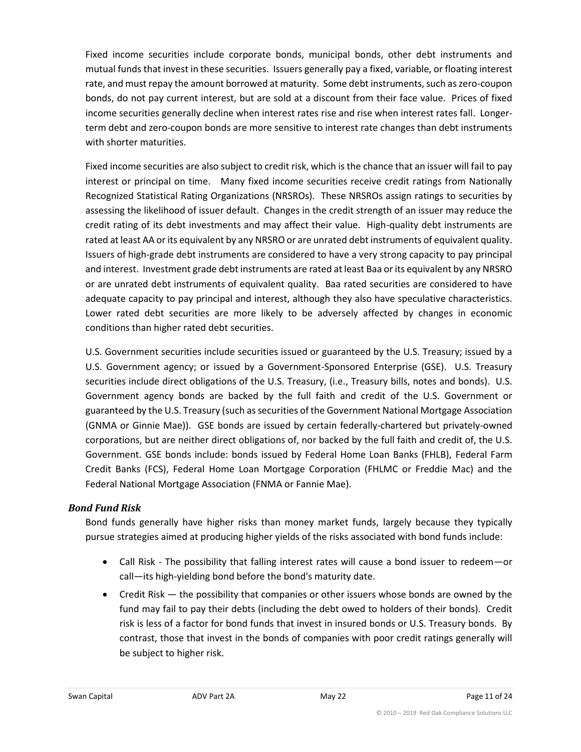Fixed income securities include corporate bonds, municipal bonds, other debt instruments and mutual funds that invest in these securities. Issuers generally pay a fixed, variable, or floating interest rate, and must repay the amount borrowed at maturity. Some debt instruments, such as zero-coupon bonds, do not pay current interest, but are sold at a discount from their face value. Prices of fixed income securities generally decline when interest rates rise and rise when interest rates fall. Longerterm debt and zero-coupon bonds are more sensitive to interest rate changes than debt instruments with shorter maturities.

Fixed income securities are also subject to credit risk, which is the chance that an issuer will fail to pay interest or principal on time. Many fixed income securities receive credit ratings from Nationally Recognized Statistical Rating Organizations (NRSROs). These NRSROs assign ratings to securities by assessing the likelihood of issuer default. Changes in the credit strength of an issuer may reduce the credit rating of its debt investments and may affect their value. High-quality debt instruments are rated at least AA or its equivalent by any NRSRO or are unrated debt instruments of equivalent quality. Issuers of high-grade debt instruments are considered to have a very strong capacity to pay principal and interest. Investment grade debt instruments are rated at least Baa or its equivalent by any NRSRO or are unrated debt instruments of equivalent quality. Baa rated securities are considered to have adequate capacity to pay principal and interest, although they also have speculative characteristics. Lower rated debt securities are more likely to be adversely affected by changes in economic conditions than higher rated debt securities.

U.S. Government securities include securities issued or guaranteed by the U.S. Treasury; issued by a U.S. Government agency; or issued by a Government-Sponsored Enterprise (GSE). U.S. Treasury securities include direct obligations of the U.S. Treasury, (i.e., Treasury bills, notes and bonds). U.S. Government agency bonds are backed by the full faith and credit of the U.S. Government or guaranteed by the U.S. Treasury (such as securities of the Government National Mortgage Association (GNMA or Ginnie Mae)). GSE bonds are issued by certain federally-chartered but privately-owned corporations, but are neither direct obligations of, nor backed by the full faith and credit of, the U.S. Government. GSE bonds include: bonds issued by Federal Home Loan Banks (FHLB), Federal Farm Credit Banks (FCS), Federal Home Loan Mortgage Corporation (FHLMC or Freddie Mac) and the Federal National Mortgage Association (FNMA or Fannie Mae).

#### *Bond Fund Risk*

Bond funds generally have higher risks than money market funds, largely because they typically pursue strategies aimed at producing higher yields of the risks associated with bond funds include:

- Call Risk The possibility that falling interest rates will cause a bond issuer to redeem—or call—its high-yielding bond before the bond's maturity date.
- Credit Risk the possibility that companies or other issuers whose bonds are owned by the fund may fail to pay their debts (including the debt owed to holders of their bonds). Credit risk is less of a factor for bond funds that invest in insured bonds or U.S. Treasury bonds. By contrast, those that invest in the bonds of companies with poor credit ratings generally will be subject to higher risk.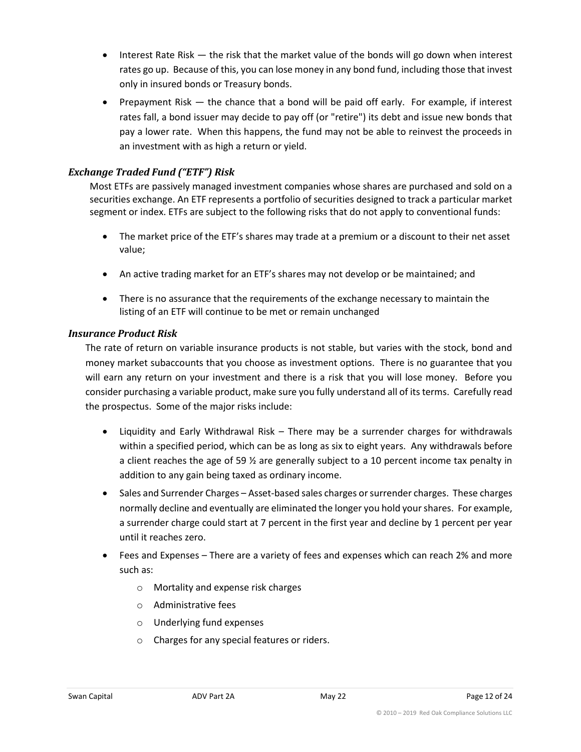- Interest Rate Risk the risk that the market value of the bonds will go down when interest rates go up. Because of this, you can lose money in any bond fund, including those that invest only in insured bonds or Treasury bonds.
- Prepayment Risk the chance that a bond will be paid off early. For example, if interest rates fall, a bond issuer may decide to pay off (or "retire") its debt and issue new bonds that pay a lower rate. When this happens, the fund may not be able to reinvest the proceeds in an investment with as high a return or yield.

## *Exchange Traded Fund ("ETF") Risk*

Most ETFs are passively managed investment companies whose shares are purchased and sold on a securities exchange. An ETF represents a portfolio of securities designed to track a particular market segment or index. ETFs are subject to the following risks that do not apply to conventional funds:

- The market price of the ETF's shares may trade at a premium or a discount to their net asset value;
- An active trading market for an ETF's shares may not develop or be maintained; and
- There is no assurance that the requirements of the exchange necessary to maintain the listing of an ETF will continue to be met or remain unchanged

#### *Insurance Product Risk*

The rate of return on variable insurance products is not stable, but varies with the stock, bond and money market subaccounts that you choose as investment options. There is no guarantee that you will earn any return on your investment and there is a risk that you will lose money. Before you consider purchasing a variable product, make sure you fully understand all of its terms. Carefully read the prospectus. Some of the major risks include:

- Liquidity and Early Withdrawal Risk There may be a surrender charges for withdrawals within a specified period, which can be as long as six to eight years. Any withdrawals before a client reaches the age of 59  $\frac{1}{2}$  are generally subject to a 10 percent income tax penalty in addition to any gain being taxed as ordinary income.
- Sales and Surrender Charges Asset-based sales charges or surrender charges. These charges normally decline and eventually are eliminated the longer you hold your shares. For example, a surrender charge could start at 7 percent in the first year and decline by 1 percent per year until it reaches zero.
- Fees and Expenses There are a variety of fees and expenses which can reach 2% and more such as:
	- o Mortality and expense risk charges
	- o Administrative fees
	- o Underlying fund expenses
	- o Charges for any special features or riders.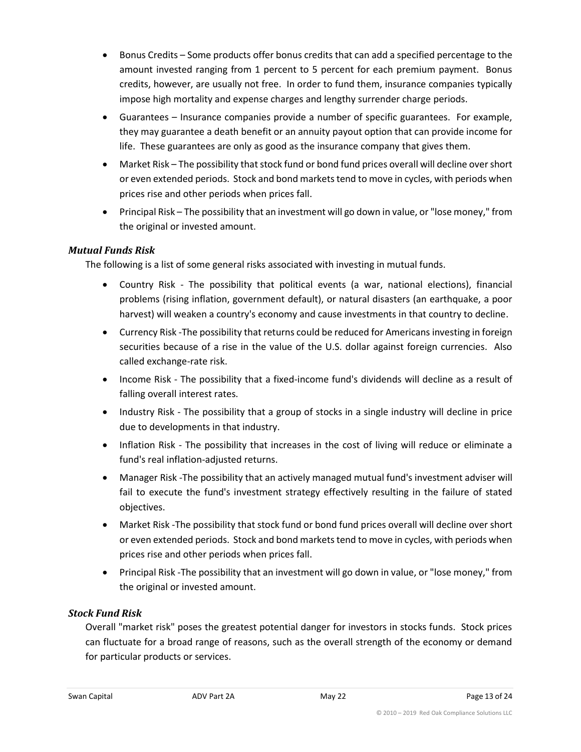- Bonus Credits Some products offer bonus credits that can add a specified percentage to the amount invested ranging from 1 percent to 5 percent for each premium payment. Bonus credits, however, are usually not free. In order to fund them, insurance companies typically impose high mortality and expense charges and lengthy surrender charge periods.
- Guarantees Insurance companies provide a number of specific guarantees. For example, they may guarantee a death benefit or an annuity payout option that can provide income for life. These guarantees are only as good as the insurance company that gives them.
- Market Risk The possibility that stock fund or bond fund prices overall will decline over short or even extended periods. Stock and bond markets tend to move in cycles, with periods when prices rise and other periods when prices fall.
- Principal Risk The possibility that an investment will go down in value, or "lose money," from the original or invested amount.

#### *Mutual Funds Risk*

The following is a list of some general risks associated with investing in mutual funds.

- Country Risk The possibility that political events (a war, national elections), financial problems (rising inflation, government default), or natural disasters (an earthquake, a poor harvest) will weaken a country's economy and cause investments in that country to decline.
- Currency Risk -The possibility that returns could be reduced for Americans investing in foreign securities because of a rise in the value of the U.S. dollar against foreign currencies. Also called exchange-rate risk.
- Income Risk The possibility that a fixed-income fund's dividends will decline as a result of falling overall interest rates.
- Industry Risk The possibility that a group of stocks in a single industry will decline in price due to developments in that industry.
- Inflation Risk The possibility that increases in the cost of living will reduce or eliminate a fund's real inflation-adjusted returns.
- Manager Risk -The possibility that an actively managed mutual fund's investment adviser will fail to execute the fund's investment strategy effectively resulting in the failure of stated objectives.
- Market Risk -The possibility that stock fund or bond fund prices overall will decline over short or even extended periods. Stock and bond markets tend to move in cycles, with periods when prices rise and other periods when prices fall.
- Principal Risk -The possibility that an investment will go down in value, or "lose money," from the original or invested amount.

#### *Stock Fund Risk*

Overall "market risk" poses the greatest potential danger for investors in stocks funds. Stock prices can fluctuate for a broad range of reasons, such as the overall strength of the economy or demand for particular products or services.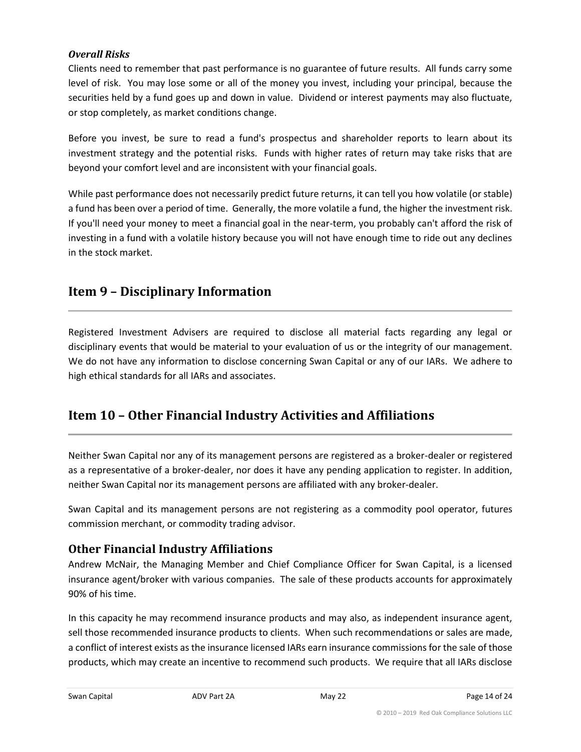#### *Overall Risks*

Clients need to remember that past performance is no guarantee of future results. All funds carry some level of risk. You may lose some or all of the money you invest, including your principal, because the securities held by a fund goes up and down in value. Dividend or interest payments may also fluctuate, or stop completely, as market conditions change.

Before you invest, be sure to read a fund's prospectus and shareholder reports to learn about its investment strategy and the potential risks. Funds with higher rates of return may take risks that are beyond your comfort level and are inconsistent with your financial goals.

While past performance does not necessarily predict future returns, it can tell you how volatile (or stable) a fund has been over a period of time. Generally, the more volatile a fund, the higher the investment risk. If you'll need your money to meet a financial goal in the near-term, you probably can't afford the risk of investing in a fund with a volatile history because you will not have enough time to ride out any declines in the stock market.

## <span id="page-13-0"></span>**Item 9 – Disciplinary Information**

Registered Investment Advisers are required to disclose all material facts regarding any legal or disciplinary events that would be material to your evaluation of us or the integrity of our management. We do not have any information to disclose concerning Swan Capital or any of our IARs. We adhere to high ethical standards for all IARs and associates.

## <span id="page-13-1"></span>**Item 10 – Other Financial Industry Activities and Affiliations**

Neither Swan Capital nor any of its management persons are registered as a broker-dealer or registered as a representative of a broker-dealer, nor does it have any pending application to register. In addition, neither Swan Capital nor its management persons are affiliated with any broker-dealer.

Swan Capital and its management persons are not registering as a commodity pool operator, futures commission merchant, or commodity trading advisor.

## **Other Financial Industry Affiliations**

Andrew McNair, the Managing Member and Chief Compliance Officer for Swan Capital, is a licensed insurance agent/broker with various companies. The sale of these products accounts for approximately 90% of his time.

In this capacity he may recommend insurance products and may also, as independent insurance agent, sell those recommended insurance products to clients. When such recommendations or sales are made, a conflict of interest exists as the insurance licensed IARs earn insurance commissions for the sale of those products, which may create an incentive to recommend such products. We require that all IARs disclose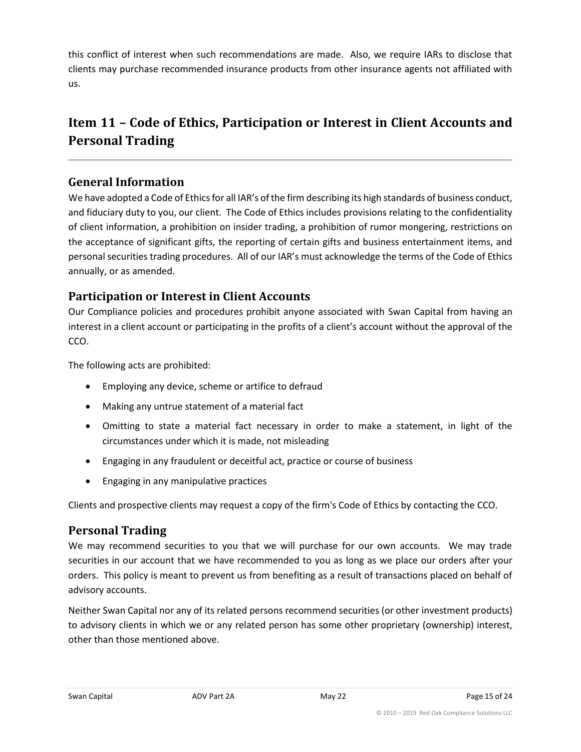this conflict of interest when such recommendations are made. Also, we require IARs to disclose that clients may purchase recommended insurance products from other insurance agents not affiliated with us.

## <span id="page-14-0"></span>**Item 11 – Code of Ethics, Participation or Interest in Client Accounts and Personal Trading**

## **General Information**

We have adopted a Code of Ethics for all IAR's of the firm describing its high standards of business conduct, and fiduciary duty to you, our client. The Code of Ethics includes provisions relating to the confidentiality of client information, a prohibition on insider trading, a prohibition of rumor mongering, restrictions on the acceptance of significant gifts, the reporting of certain gifts and business entertainment items, and personal securities trading procedures. All of our IAR's must acknowledge the terms of the Code of Ethics annually, or as amended.

## **Participation or Interest in Client Accounts**

Our Compliance policies and procedures prohibit anyone associated with Swan Capital from having an interest in a client account or participating in the profits of a client's account without the approval of the CCO.

The following acts are prohibited:

- Employing any device, scheme or artifice to defraud
- Making any untrue statement of a material fact
- Omitting to state a material fact necessary in order to make a statement, in light of the circumstances under which it is made, not misleading
- Engaging in any fraudulent or deceitful act, practice or course of business
- Engaging in any manipulative practices

Clients and prospective clients may request a copy of the firm's Code of Ethics by contacting the CCO.

## **Personal Trading**

We may recommend securities to you that we will purchase for our own accounts. We may trade securities in our account that we have recommended to you as long as we place our orders after your orders. This policy is meant to prevent us from benefiting as a result of transactions placed on behalf of advisory accounts.

Neither Swan Capital nor any of its related persons recommend securities (or other investment products) to advisory clients in which we or any related person has some other proprietary (ownership) interest, other than those mentioned above.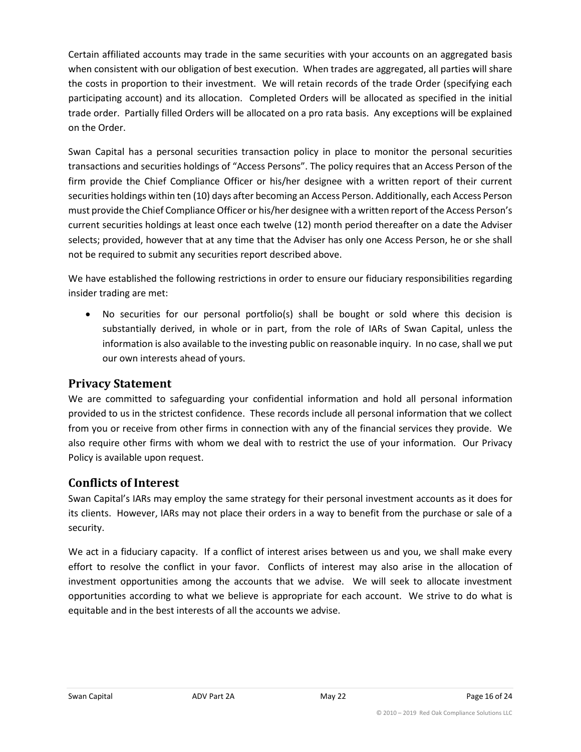Certain affiliated accounts may trade in the same securities with your accounts on an aggregated basis when consistent with our obligation of best execution. When trades are aggregated, all parties will share the costs in proportion to their investment. We will retain records of the trade Order (specifying each participating account) and its allocation. Completed Orders will be allocated as specified in the initial trade order. Partially filled Orders will be allocated on a pro rata basis. Any exceptions will be explained on the Order.

Swan Capital has a personal securities transaction policy in place to monitor the personal securities transactions and securities holdings of "Access Persons". The policy requires that an Access Person of the firm provide the Chief Compliance Officer or his/her designee with a written report of their current securities holdings within ten (10) days after becoming an Access Person. Additionally, each Access Person must provide the Chief Compliance Officer or his/her designee with a written report of the Access Person's current securities holdings at least once each twelve (12) month period thereafter on a date the Adviser selects; provided, however that at any time that the Adviser has only one Access Person, he or she shall not be required to submit any securities report described above.

We have established the following restrictions in order to ensure our fiduciary responsibilities regarding insider trading are met:

• No securities for our personal portfolio(s) shall be bought or sold where this decision is substantially derived, in whole or in part, from the role of IARs of Swan Capital, unless the information is also available to the investing public on reasonable inquiry. In no case, shall we put our own interests ahead of yours.

## **Privacy Statement**

We are committed to safeguarding your confidential information and hold all personal information provided to us in the strictest confidence. These records include all personal information that we collect from you or receive from other firms in connection with any of the financial services they provide. We also require other firms with whom we deal with to restrict the use of your information. Our Privacy Policy is available upon request.

## **Conflicts of Interest**

Swan Capital's IARs may employ the same strategy for their personal investment accounts as it does for its clients. However, IARs may not place their orders in a way to benefit from the purchase or sale of a security.

We act in a fiduciary capacity. If a conflict of interest arises between us and you, we shall make every effort to resolve the conflict in your favor. Conflicts of interest may also arise in the allocation of investment opportunities among the accounts that we advise. We will seek to allocate investment opportunities according to what we believe is appropriate for each account. We strive to do what is equitable and in the best interests of all the accounts we advise.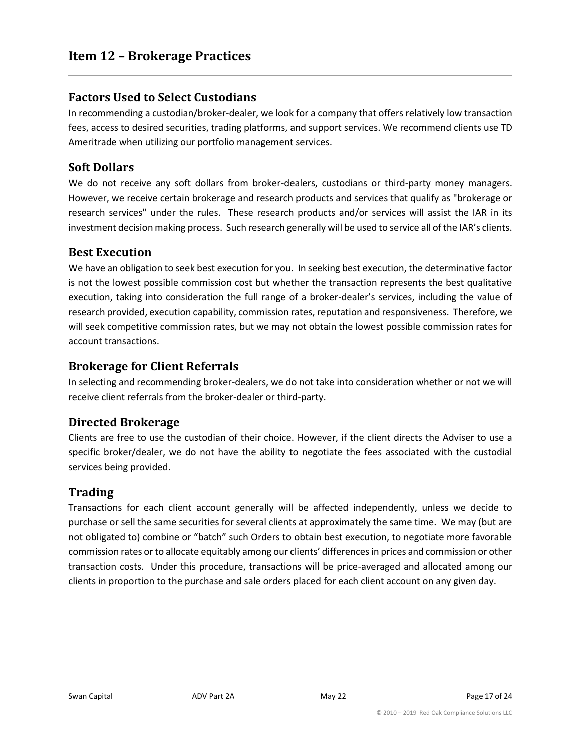## <span id="page-16-0"></span>**Factors Used to Select Custodians**

In recommending a custodian/broker-dealer, we look for a company that offers relatively low transaction fees, access to desired securities, trading platforms, and support services. We recommend clients use TD Ameritrade when utilizing our portfolio management services.

## **Soft Dollars**

We do not receive any soft dollars from broker-dealers, custodians or third-party money managers. However, we receive certain brokerage and research products and services that qualify as "brokerage or research services" under the rules. These research products and/or services will assist the IAR in its investment decision making process. Such research generally will be used to service all of the IAR's clients.

#### **Best Execution**

We have an obligation to seek best execution for you. In seeking best execution, the determinative factor is not the lowest possible commission cost but whether the transaction represents the best qualitative execution, taking into consideration the full range of a broker-dealer's services, including the value of research provided, execution capability, commission rates, reputation and responsiveness. Therefore, we will seek competitive commission rates, but we may not obtain the lowest possible commission rates for account transactions.

## **Brokerage for Client Referrals**

In selecting and recommending broker-dealers, we do not take into consideration whether or not we will receive client referrals from the broker-dealer or third-party.

## **Directed Brokerage**

Clients are free to use the custodian of their choice. However, if the client directs the Adviser to use a specific broker/dealer, we do not have the ability to negotiate the fees associated with the custodial services being provided.

## **Trading**

Transactions for each client account generally will be affected independently, unless we decide to purchase or sell the same securities for several clients at approximately the same time. We may (but are not obligated to) combine or "batch" such Orders to obtain best execution, to negotiate more favorable commission rates or to allocate equitably among our clients' differences in prices and commission or other transaction costs. Under this procedure, transactions will be price-averaged and allocated among our clients in proportion to the purchase and sale orders placed for each client account on any given day.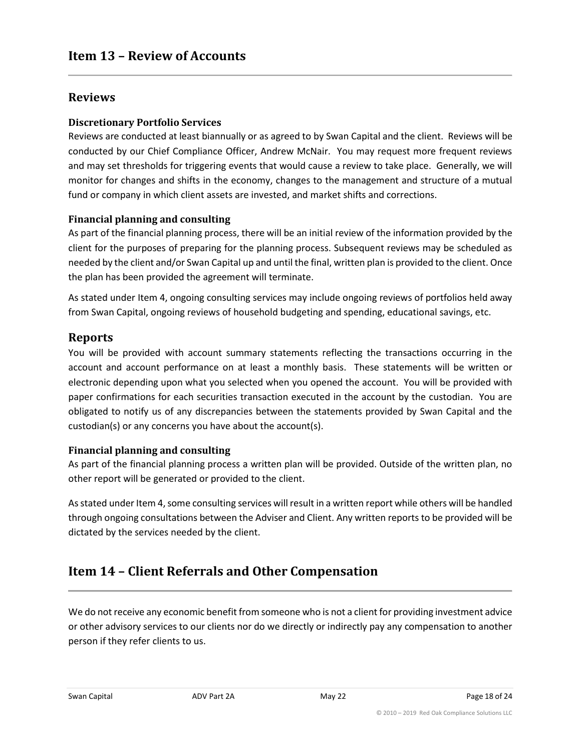## <span id="page-17-0"></span>**Reviews**

#### **Discretionary Portfolio Services**

Reviews are conducted at least biannually or as agreed to by Swan Capital and the client. Reviews will be conducted by our Chief Compliance Officer, Andrew McNair. You may request more frequent reviews and may set thresholds for triggering events that would cause a review to take place. Generally, we will monitor for changes and shifts in the economy, changes to the management and structure of a mutual fund or company in which client assets are invested, and market shifts and corrections.

#### **Financial planning and consulting**

As part of the financial planning process, there will be an initial review of the information provided by the client for the purposes of preparing for the planning process. Subsequent reviews may be scheduled as needed by the client and/or Swan Capital up and until the final, written plan is provided to the client. Once the plan has been provided the agreement will terminate.

As stated under Item 4, ongoing consulting services may include ongoing reviews of portfolios held away from Swan Capital, ongoing reviews of household budgeting and spending, educational savings, etc.

## **Reports**

You will be provided with account summary statements reflecting the transactions occurring in the account and account performance on at least a monthly basis. These statements will be written or electronic depending upon what you selected when you opened the account. You will be provided with paper confirmations for each securities transaction executed in the account by the custodian. You are obligated to notify us of any discrepancies between the statements provided by Swan Capital and the custodian(s) or any concerns you have about the account(s).

#### **Financial planning and consulting**

As part of the financial planning process a written plan will be provided. Outside of the written plan, no other report will be generated or provided to the client.

As stated under Item 4, some consulting services will result in a written report while others will be handled through ongoing consultations between the Adviser and Client. Any written reports to be provided will be dictated by the services needed by the client.

## <span id="page-17-1"></span>**Item 14 – Client Referrals and Other Compensation**

We do not receive any economic benefit from someone who is not a client for providing investment advice or other advisory services to our clients nor do we directly or indirectly pay any compensation to another person if they refer clients to us.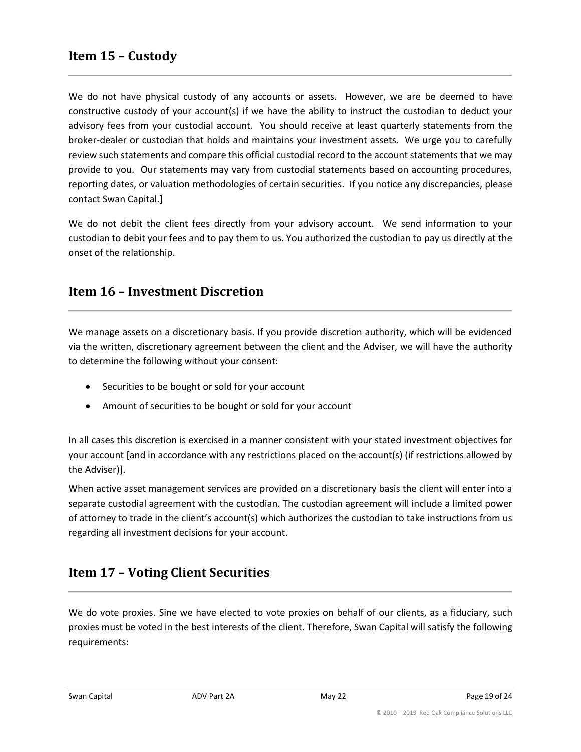<span id="page-18-0"></span>We do not have physical custody of any accounts or assets. However, we are be deemed to have constructive custody of your account(s) if we have the ability to instruct the custodian to deduct your advisory fees from your custodial account. You should receive at least quarterly statements from the broker-dealer or custodian that holds and maintains your investment assets. We urge you to carefully review such statements and compare this official custodial record to the account statements that we may provide to you. Our statements may vary from custodial statements based on accounting procedures, reporting dates, or valuation methodologies of certain securities. If you notice any discrepancies, please contact Swan Capital.]

We do not debit the client fees directly from your advisory account. We send information to your custodian to debit your fees and to pay them to us. You authorized the custodian to pay us directly at the onset of the relationship.

## <span id="page-18-1"></span>**Item 16 – Investment Discretion**

We manage assets on a discretionary basis. If you provide discretion authority, which will be evidenced via the written, discretionary agreement between the client and the Adviser, we will have the authority to determine the following without your consent:

- Securities to be bought or sold for your account
- Amount of securities to be bought or sold for your account

In all cases this discretion is exercised in a manner consistent with your stated investment objectives for your account [and in accordance with any restrictions placed on the account(s) (if restrictions allowed by the Adviser)].

When active asset management services are provided on a discretionary basis the client will enter into a separate custodial agreement with the custodian. The custodian agreement will include a limited power of attorney to trade in the client's account(s) which authorizes the custodian to take instructions from us regarding all investment decisions for your account.

## <span id="page-18-2"></span>**Item 17 – Voting Client Securities**

We do vote proxies. Sine we have elected to vote proxies on behalf of our clients, as a fiduciary, such proxies must be voted in the best interests of the client. Therefore, Swan Capital will satisfy the following requirements: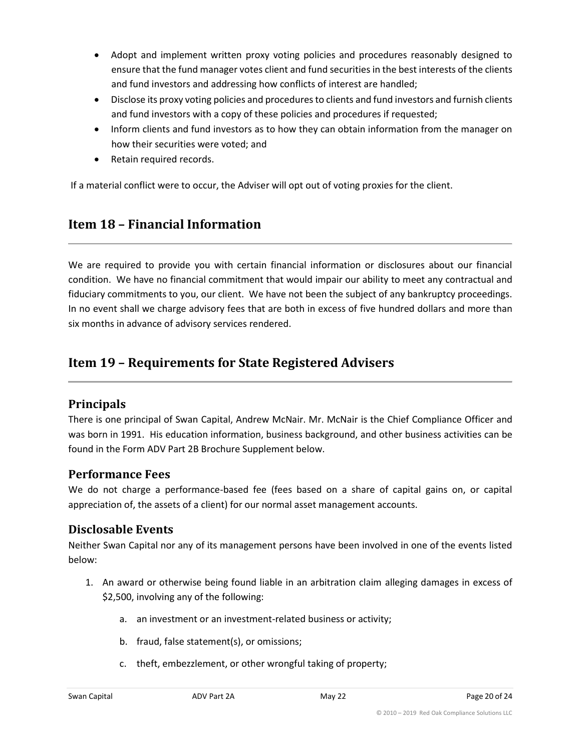- Adopt and implement written proxy voting policies and procedures reasonably designed to ensure that the fund manager votes client and fund securities in the best interests of the clients and fund investors and addressing how conflicts of interest are handled;
- Disclose its proxy voting policies and procedures to clients and fund investors and furnish clients and fund investors with a copy of these policies and procedures if requested;
- Inform clients and fund investors as to how they can obtain information from the manager on how their securities were voted; and
- Retain required records.

If a material conflict were to occur, the Adviser will opt out of voting proxies for the client.

## <span id="page-19-0"></span>**Item 18 – Financial Information**

We are required to provide you with certain financial information or disclosures about our financial condition. We have no financial commitment that would impair our ability to meet any contractual and fiduciary commitments to you, our client. We have not been the subject of any bankruptcy proceedings. In no event shall we charge advisory fees that are both in excess of five hundred dollars and more than six months in advance of advisory services rendered.

## <span id="page-19-1"></span>**Item 19 – Requirements for State Registered Advisers**

## **Principals**

There is one principal of Swan Capital, Andrew McNair. Mr. McNair is the Chief Compliance Officer and was born in 1991. His education information, business background, and other business activities can be found in the Form ADV Part 2B Brochure Supplement below.

## **Performance Fees**

We do not charge a performance-based fee (fees based on a share of capital gains on, or capital appreciation of, the assets of a client) for our normal asset management accounts.

#### **Disclosable Events**

Neither Swan Capital nor any of its management persons have been involved in one of the events listed below:

- 1. An award or otherwise being found liable in an arbitration claim alleging damages in excess of \$2,500, involving any of the following:
	- a. an investment or an investment-related business or activity;
	- b. fraud, false statement(s), or omissions;
	- c. theft, embezzlement, or other wrongful taking of property;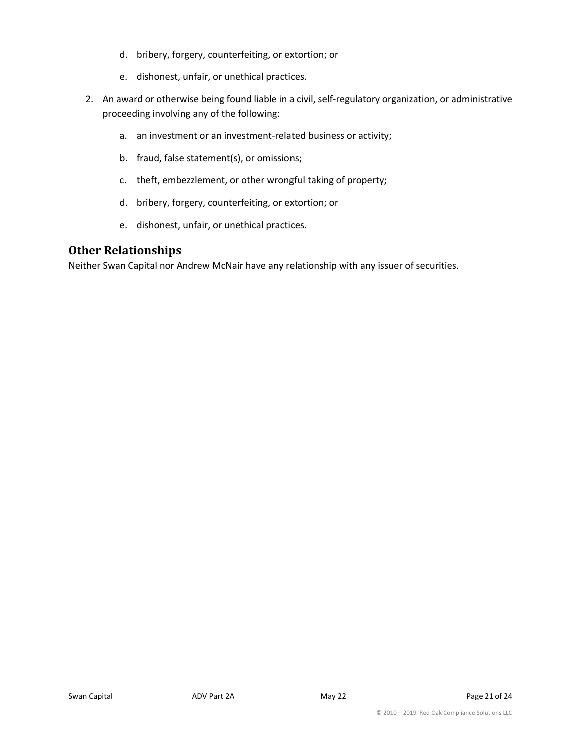- d. bribery, forgery, counterfeiting, or extortion; or
- e. dishonest, unfair, or unethical practices.
- 2. An award or otherwise being found liable in a civil, self-regulatory organization, or administrative proceeding involving any of the following:
	- a. an investment or an investment-related business or activity;
	- b. fraud, false statement(s), or omissions;
	- c. theft, embezzlement, or other wrongful taking of property;
	- d. bribery, forgery, counterfeiting, or extortion; or
	- e. dishonest, unfair, or unethical practices.

## **Other Relationships**

Neither Swan Capital nor Andrew McNair have any relationship with any issuer of securities.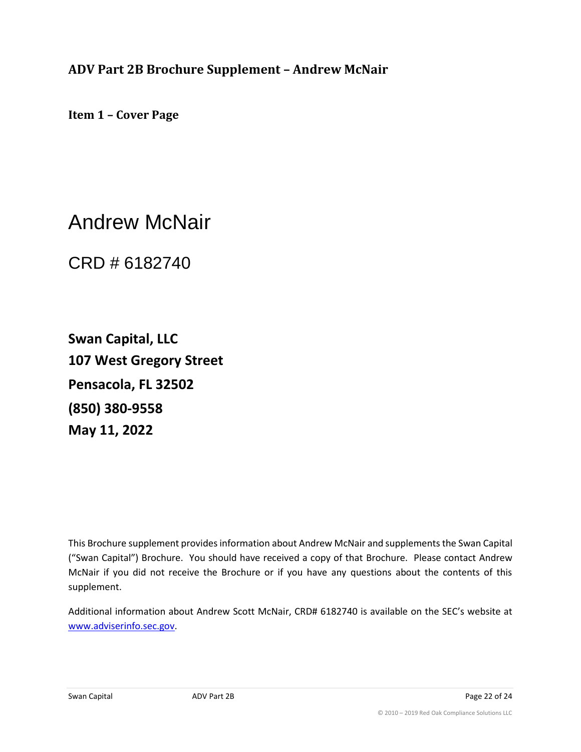<span id="page-21-0"></span>**ADV Part 2B Brochure Supplement – Andrew McNair**

**Item 1 – Cover Page**

Andrew McNair

CRD # 6182740

**Swan Capital, LLC 107 West Gregory Street Pensacola, FL 32502 (850) 380-9558 May 11, 2022**

This Brochure supplement provides information about Andrew McNair and supplements the Swan Capital ("Swan Capital") Brochure. You should have received a copy of that Brochure. Please contact Andrew McNair if you did not receive the Brochure or if you have any questions about the contents of this supplement.

Additional information about Andrew Scott McNair, CRD# 6182740 is available on the SEC's website at www.adviserinfo.sec.gov.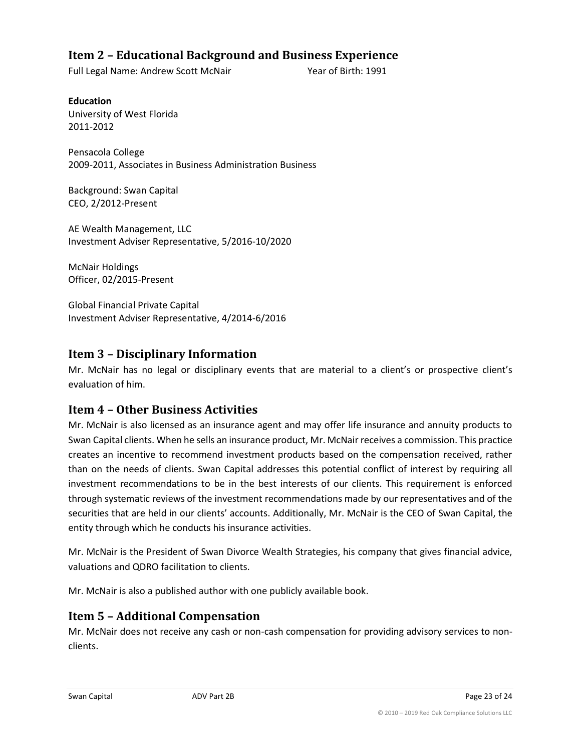## **Item 2 – Educational Background and Business Experience**

Full Legal Name: Andrew Scott McNair Year of Birth: 1991

**Education** University of West Florida 2011-2012

Pensacola College 2009-2011, Associates in Business Administration Business

Background: Swan Capital CEO, 2/2012-Present

AE Wealth Management, LLC Investment Adviser Representative, 5/2016-10/2020

McNair Holdings Officer, 02/2015-Present

Global Financial Private Capital Investment Adviser Representative, 4/2014-6/2016

## **Item 3 – Disciplinary Information**

Mr. McNair has no legal or disciplinary events that are material to a client's or prospective client's evaluation of him.

## **Item 4 – Other Business Activities**

Mr. McNair is also licensed as an insurance agent and may offer life insurance and annuity products to Swan Capital clients. When he sells an insurance product, Mr. McNair receives a commission. This practice creates an incentive to recommend investment products based on the compensation received, rather than on the needs of clients. Swan Capital addresses this potential conflict of interest by requiring all investment recommendations to be in the best interests of our clients. This requirement is enforced through systematic reviews of the investment recommendations made by our representatives and of the securities that are held in our clients' accounts. Additionally, Mr. McNair is the CEO of Swan Capital, the entity through which he conducts his insurance activities.

Mr. McNair is the President of Swan Divorce Wealth Strategies, his company that gives financial advice, valuations and QDRO facilitation to clients.

Mr. McNair is also a published author with one publicly available book.

#### **Item 5 – Additional Compensation**

Mr. McNair does not receive any cash or non-cash compensation for providing advisory services to nonclients.